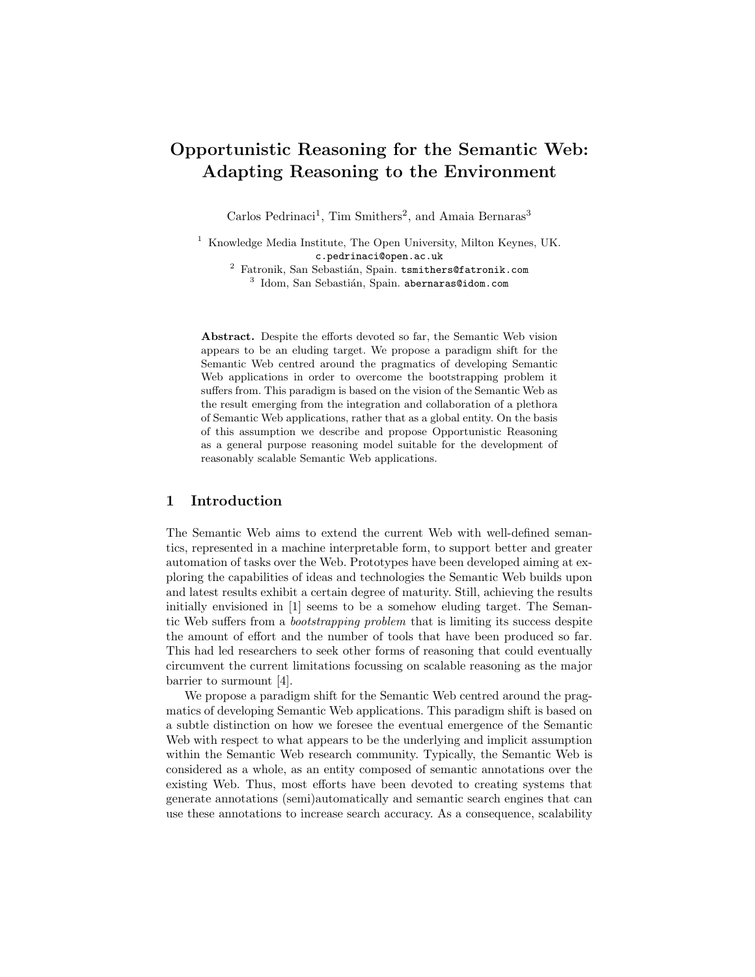# Opportunistic Reasoning for the Semantic Web: Adapting Reasoning to the Environment

Carlos Pedrinaci<sup>1</sup>, Tim Smithers<sup>2</sup>, and Amaia Bernaras<sup>3</sup>

<sup>1</sup> Knowledge Media Institute, The Open University, Milton Keynes, UK. c.pedrinaci@open.ac.uk

 $2$  Fatronik, San Sebastián, Spain. tsmithers@fatronik.com  $3$  Idom, San Sebastián, Spain. abernaras@idom.com

Abstract. Despite the efforts devoted so far, the Semantic Web vision appears to be an eluding target. We propose a paradigm shift for the Semantic Web centred around the pragmatics of developing Semantic Web applications in order to overcome the bootstrapping problem it suffers from. This paradigm is based on the vision of the Semantic Web as the result emerging from the integration and collaboration of a plethora of Semantic Web applications, rather that as a global entity. On the basis of this assumption we describe and propose Opportunistic Reasoning as a general purpose reasoning model suitable for the development of reasonably scalable Semantic Web applications.

### 1 Introduction

The Semantic Web aims to extend the current Web with well-defined semantics, represented in a machine interpretable form, to support better and greater automation of tasks over the Web. Prototypes have been developed aiming at exploring the capabilities of ideas and technologies the Semantic Web builds upon and latest results exhibit a certain degree of maturity. Still, achieving the results initially envisioned in [1] seems to be a somehow eluding target. The Semantic Web suffers from a bootstrapping problem that is limiting its success despite the amount of effort and the number of tools that have been produced so far. This had led researchers to seek other forms of reasoning that could eventually circumvent the current limitations focussing on scalable reasoning as the major barrier to surmount [4].

We propose a paradigm shift for the Semantic Web centred around the pragmatics of developing Semantic Web applications. This paradigm shift is based on a subtle distinction on how we foresee the eventual emergence of the Semantic Web with respect to what appears to be the underlying and implicit assumption within the Semantic Web research community. Typically, the Semantic Web is considered as a whole, as an entity composed of semantic annotations over the existing Web. Thus, most efforts have been devoted to creating systems that generate annotations (semi)automatically and semantic search engines that can use these annotations to increase search accuracy. As a consequence, scalability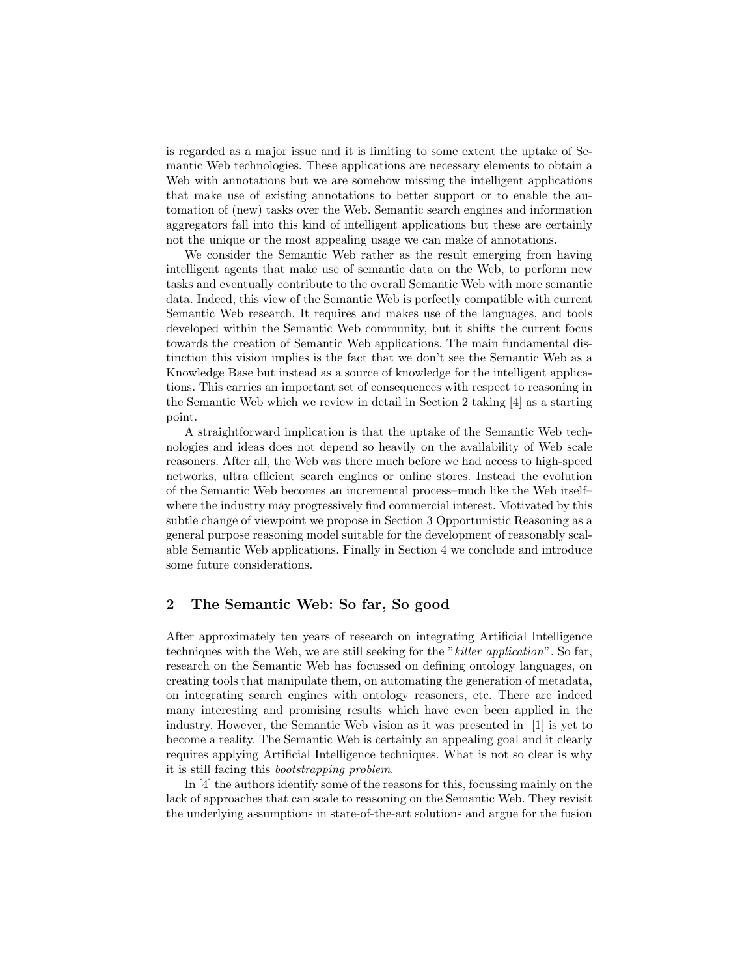is regarded as a major issue and it is limiting to some extent the uptake of Semantic Web technologies. These applications are necessary elements to obtain a Web with annotations but we are somehow missing the intelligent applications that make use of existing annotations to better support or to enable the automation of (new) tasks over the Web. Semantic search engines and information aggregators fall into this kind of intelligent applications but these are certainly not the unique or the most appealing usage we can make of annotations.

We consider the Semantic Web rather as the result emerging from having intelligent agents that make use of semantic data on the Web, to perform new tasks and eventually contribute to the overall Semantic Web with more semantic data. Indeed, this view of the Semantic Web is perfectly compatible with current Semantic Web research. It requires and makes use of the languages, and tools developed within the Semantic Web community, but it shifts the current focus towards the creation of Semantic Web applications. The main fundamental distinction this vision implies is the fact that we don't see the Semantic Web as a Knowledge Base but instead as a source of knowledge for the intelligent applications. This carries an important set of consequences with respect to reasoning in the Semantic Web which we review in detail in Section 2 taking [4] as a starting point.

A straightforward implication is that the uptake of the Semantic Web technologies and ideas does not depend so heavily on the availability of Web scale reasoners. After all, the Web was there much before we had access to high-speed networks, ultra efficient search engines or online stores. Instead the evolution of the Semantic Web becomes an incremental process–much like the Web itself– where the industry may progressively find commercial interest. Motivated by this subtle change of viewpoint we propose in Section 3 Opportunistic Reasoning as a general purpose reasoning model suitable for the development of reasonably scalable Semantic Web applications. Finally in Section 4 we conclude and introduce some future considerations.

## 2 The Semantic Web: So far, So good

After approximately ten years of research on integrating Artificial Intelligence techniques with the Web, we are still seeking for the "killer application". So far, research on the Semantic Web has focussed on defining ontology languages, on creating tools that manipulate them, on automating the generation of metadata, on integrating search engines with ontology reasoners, etc. There are indeed many interesting and promising results which have even been applied in the industry. However, the Semantic Web vision as it was presented in [1] is yet to become a reality. The Semantic Web is certainly an appealing goal and it clearly requires applying Artificial Intelligence techniques. What is not so clear is why it is still facing this bootstrapping problem.

In [4] the authors identify some of the reasons for this, focussing mainly on the lack of approaches that can scale to reasoning on the Semantic Web. They revisit the underlying assumptions in state-of-the-art solutions and argue for the fusion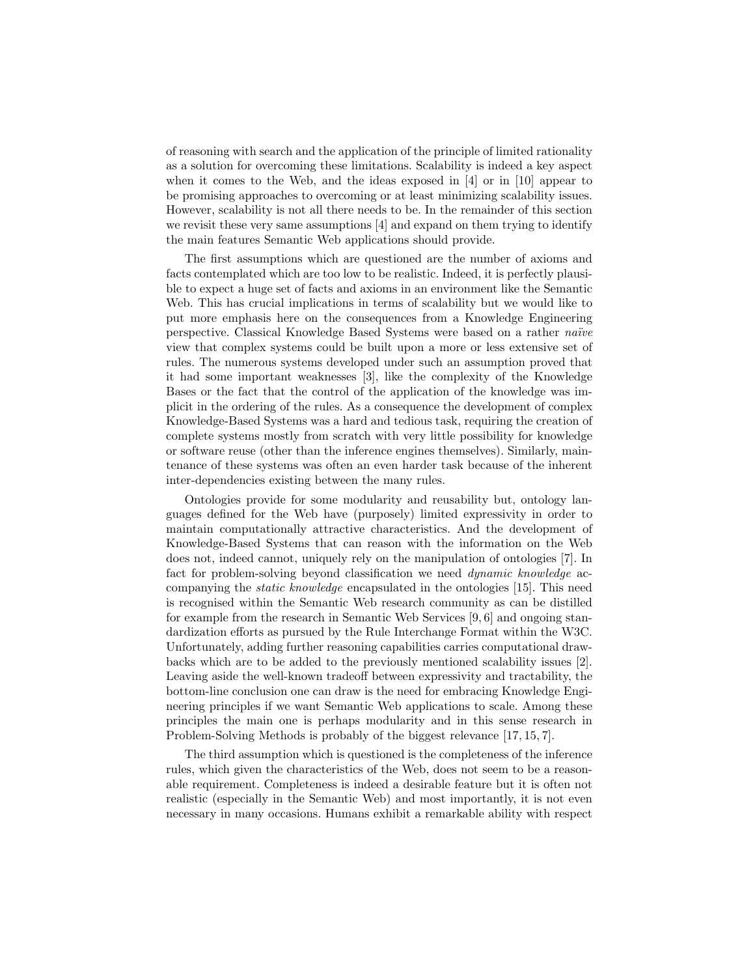of reasoning with search and the application of the principle of limited rationality as a solution for overcoming these limitations. Scalability is indeed a key aspect when it comes to the Web, and the ideas exposed in [4] or in [10] appear to be promising approaches to overcoming or at least minimizing scalability issues. However, scalability is not all there needs to be. In the remainder of this section we revisit these very same assumptions [4] and expand on them trying to identify the main features Semantic Web applications should provide.

The first assumptions which are questioned are the number of axioms and facts contemplated which are too low to be realistic. Indeed, it is perfectly plausible to expect a huge set of facts and axioms in an environment like the Semantic Web. This has crucial implications in terms of scalability but we would like to put more emphasis here on the consequences from a Knowledge Engineering perspective. Classical Knowledge Based Systems were based on a rather *naïve* view that complex systems could be built upon a more or less extensive set of rules. The numerous systems developed under such an assumption proved that it had some important weaknesses [3], like the complexity of the Knowledge Bases or the fact that the control of the application of the knowledge was implicit in the ordering of the rules. As a consequence the development of complex Knowledge-Based Systems was a hard and tedious task, requiring the creation of complete systems mostly from scratch with very little possibility for knowledge or software reuse (other than the inference engines themselves). Similarly, maintenance of these systems was often an even harder task because of the inherent inter-dependencies existing between the many rules.

Ontologies provide for some modularity and reusability but, ontology languages defined for the Web have (purposely) limited expressivity in order to maintain computationally attractive characteristics. And the development of Knowledge-Based Systems that can reason with the information on the Web does not, indeed cannot, uniquely rely on the manipulation of ontologies [7]. In fact for problem-solving beyond classification we need dynamic knowledge accompanying the static knowledge encapsulated in the ontologies [15]. This need is recognised within the Semantic Web research community as can be distilled for example from the research in Semantic Web Services [9, 6] and ongoing standardization efforts as pursued by the Rule Interchange Format within the W3C. Unfortunately, adding further reasoning capabilities carries computational drawbacks which are to be added to the previously mentioned scalability issues [2]. Leaving aside the well-known tradeoff between expressivity and tractability, the bottom-line conclusion one can draw is the need for embracing Knowledge Engineering principles if we want Semantic Web applications to scale. Among these principles the main one is perhaps modularity and in this sense research in Problem-Solving Methods is probably of the biggest relevance [17, 15, 7].

The third assumption which is questioned is the completeness of the inference rules, which given the characteristics of the Web, does not seem to be a reasonable requirement. Completeness is indeed a desirable feature but it is often not realistic (especially in the Semantic Web) and most importantly, it is not even necessary in many occasions. Humans exhibit a remarkable ability with respect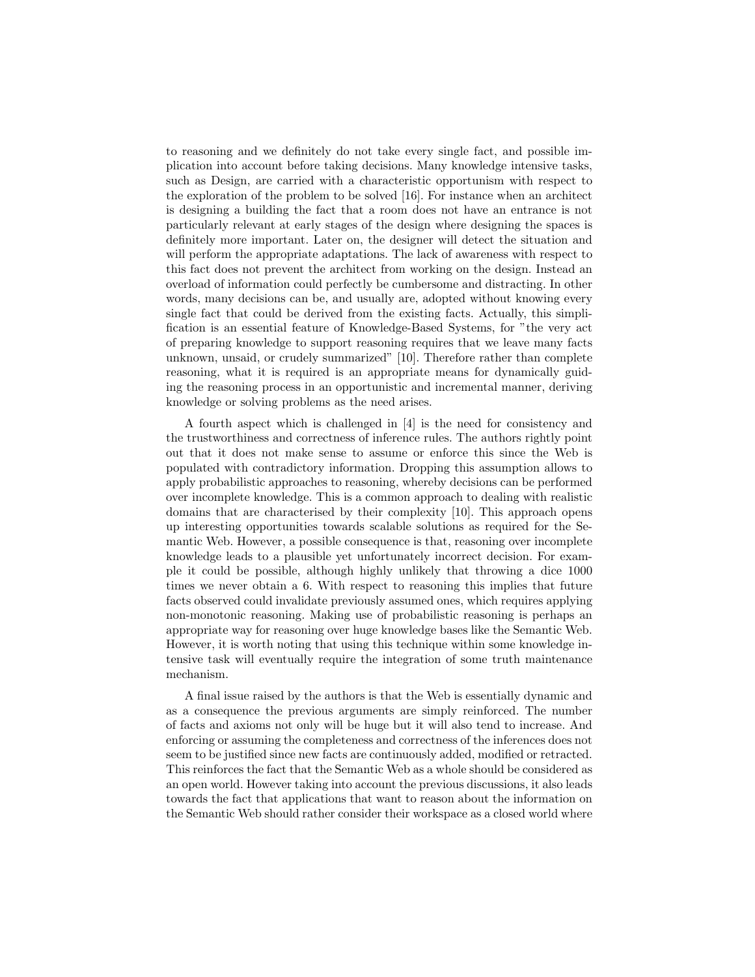to reasoning and we definitely do not take every single fact, and possible implication into account before taking decisions. Many knowledge intensive tasks, such as Design, are carried with a characteristic opportunism with respect to the exploration of the problem to be solved [16]. For instance when an architect is designing a building the fact that a room does not have an entrance is not particularly relevant at early stages of the design where designing the spaces is definitely more important. Later on, the designer will detect the situation and will perform the appropriate adaptations. The lack of awareness with respect to this fact does not prevent the architect from working on the design. Instead an overload of information could perfectly be cumbersome and distracting. In other words, many decisions can be, and usually are, adopted without knowing every single fact that could be derived from the existing facts. Actually, this simplification is an essential feature of Knowledge-Based Systems, for "the very act of preparing knowledge to support reasoning requires that we leave many facts unknown, unsaid, or crudely summarized" [10]. Therefore rather than complete reasoning, what it is required is an appropriate means for dynamically guiding the reasoning process in an opportunistic and incremental manner, deriving knowledge or solving problems as the need arises.

A fourth aspect which is challenged in [4] is the need for consistency and the trustworthiness and correctness of inference rules. The authors rightly point out that it does not make sense to assume or enforce this since the Web is populated with contradictory information. Dropping this assumption allows to apply probabilistic approaches to reasoning, whereby decisions can be performed over incomplete knowledge. This is a common approach to dealing with realistic domains that are characterised by their complexity [10]. This approach opens up interesting opportunities towards scalable solutions as required for the Semantic Web. However, a possible consequence is that, reasoning over incomplete knowledge leads to a plausible yet unfortunately incorrect decision. For example it could be possible, although highly unlikely that throwing a dice 1000 times we never obtain a 6. With respect to reasoning this implies that future facts observed could invalidate previously assumed ones, which requires applying non-monotonic reasoning. Making use of probabilistic reasoning is perhaps an appropriate way for reasoning over huge knowledge bases like the Semantic Web. However, it is worth noting that using this technique within some knowledge intensive task will eventually require the integration of some truth maintenance mechanism.

A final issue raised by the authors is that the Web is essentially dynamic and as a consequence the previous arguments are simply reinforced. The number of facts and axioms not only will be huge but it will also tend to increase. And enforcing or assuming the completeness and correctness of the inferences does not seem to be justified since new facts are continuously added, modified or retracted. This reinforces the fact that the Semantic Web as a whole should be considered as an open world. However taking into account the previous discussions, it also leads towards the fact that applications that want to reason about the information on the Semantic Web should rather consider their workspace as a closed world where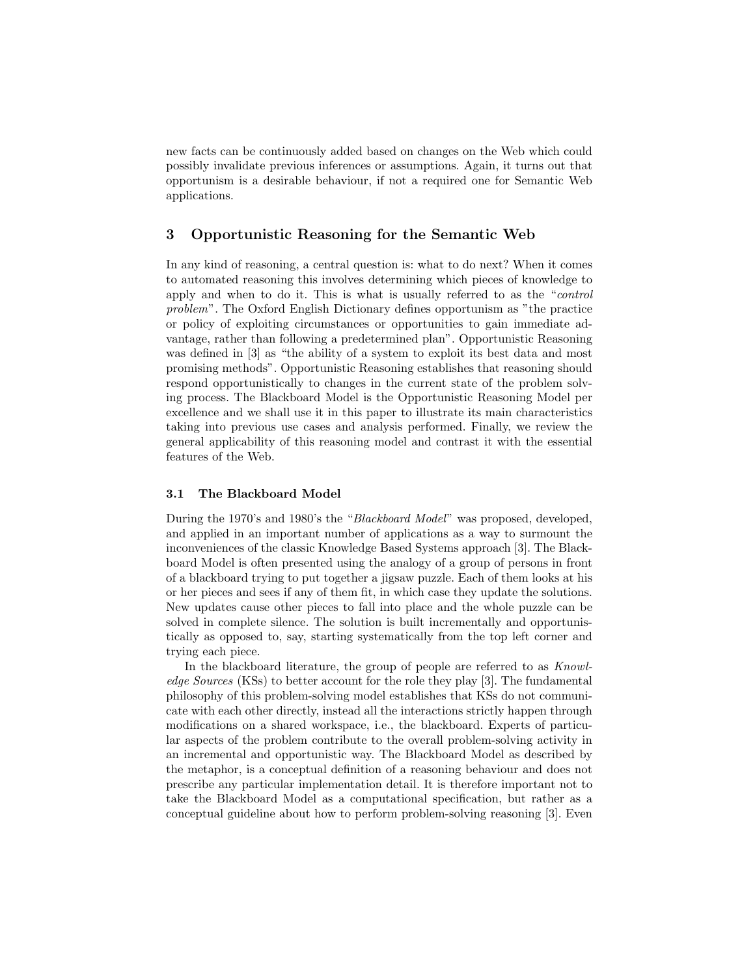new facts can be continuously added based on changes on the Web which could possibly invalidate previous inferences or assumptions. Again, it turns out that opportunism is a desirable behaviour, if not a required one for Semantic Web applications.

## 3 Opportunistic Reasoning for the Semantic Web

In any kind of reasoning, a central question is: what to do next? When it comes to automated reasoning this involves determining which pieces of knowledge to apply and when to do it. This is what is usually referred to as the "control problem". The Oxford English Dictionary defines opportunism as "the practice or policy of exploiting circumstances or opportunities to gain immediate advantage, rather than following a predetermined plan". Opportunistic Reasoning was defined in [3] as "the ability of a system to exploit its best data and most promising methods". Opportunistic Reasoning establishes that reasoning should respond opportunistically to changes in the current state of the problem solving process. The Blackboard Model is the Opportunistic Reasoning Model per excellence and we shall use it in this paper to illustrate its main characteristics taking into previous use cases and analysis performed. Finally, we review the general applicability of this reasoning model and contrast it with the essential features of the Web.

#### 3.1 The Blackboard Model

During the 1970's and 1980's the "Blackboard Model" was proposed, developed, and applied in an important number of applications as a way to surmount the inconveniences of the classic Knowledge Based Systems approach [3]. The Blackboard Model is often presented using the analogy of a group of persons in front of a blackboard trying to put together a jigsaw puzzle. Each of them looks at his or her pieces and sees if any of them fit, in which case they update the solutions. New updates cause other pieces to fall into place and the whole puzzle can be solved in complete silence. The solution is built incrementally and opportunistically as opposed to, say, starting systematically from the top left corner and trying each piece.

In the blackboard literature, the group of people are referred to as Knowledge Sources (KSs) to better account for the role they play [3]. The fundamental philosophy of this problem-solving model establishes that KSs do not communicate with each other directly, instead all the interactions strictly happen through modifications on a shared workspace, i.e., the blackboard. Experts of particular aspects of the problem contribute to the overall problem-solving activity in an incremental and opportunistic way. The Blackboard Model as described by the metaphor, is a conceptual definition of a reasoning behaviour and does not prescribe any particular implementation detail. It is therefore important not to take the Blackboard Model as a computational specification, but rather as a conceptual guideline about how to perform problem-solving reasoning [3]. Even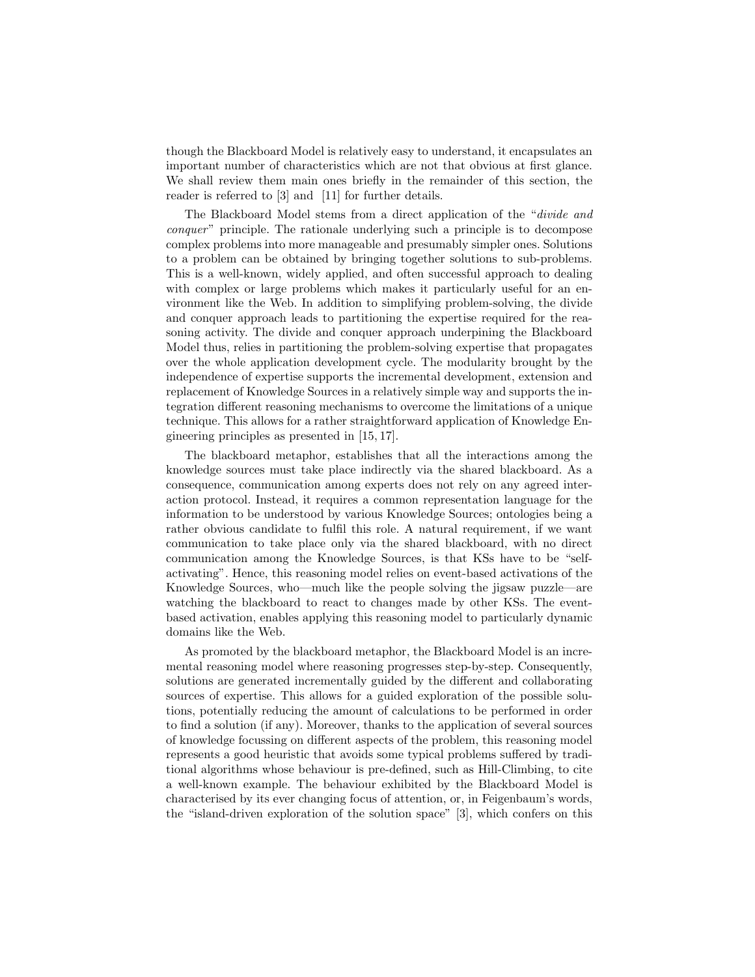though the Blackboard Model is relatively easy to understand, it encapsulates an important number of characteristics which are not that obvious at first glance. We shall review them main ones briefly in the remainder of this section, the reader is referred to [3] and [11] for further details.

The Blackboard Model stems from a direct application of the "divide and conquer" principle. The rationale underlying such a principle is to decompose complex problems into more manageable and presumably simpler ones. Solutions to a problem can be obtained by bringing together solutions to sub-problems. This is a well-known, widely applied, and often successful approach to dealing with complex or large problems which makes it particularly useful for an environment like the Web. In addition to simplifying problem-solving, the divide and conquer approach leads to partitioning the expertise required for the reasoning activity. The divide and conquer approach underpining the Blackboard Model thus, relies in partitioning the problem-solving expertise that propagates over the whole application development cycle. The modularity brought by the independence of expertise supports the incremental development, extension and replacement of Knowledge Sources in a relatively simple way and supports the integration different reasoning mechanisms to overcome the limitations of a unique technique. This allows for a rather straightforward application of Knowledge Engineering principles as presented in [15, 17].

The blackboard metaphor, establishes that all the interactions among the knowledge sources must take place indirectly via the shared blackboard. As a consequence, communication among experts does not rely on any agreed interaction protocol. Instead, it requires a common representation language for the information to be understood by various Knowledge Sources; ontologies being a rather obvious candidate to fulfil this role. A natural requirement, if we want communication to take place only via the shared blackboard, with no direct communication among the Knowledge Sources, is that KSs have to be "selfactivating". Hence, this reasoning model relies on event-based activations of the Knowledge Sources, who—much like the people solving the jigsaw puzzle—are watching the blackboard to react to changes made by other KSs. The eventbased activation, enables applying this reasoning model to particularly dynamic domains like the Web.

As promoted by the blackboard metaphor, the Blackboard Model is an incremental reasoning model where reasoning progresses step-by-step. Consequently, solutions are generated incrementally guided by the different and collaborating sources of expertise. This allows for a guided exploration of the possible solutions, potentially reducing the amount of calculations to be performed in order to find a solution (if any). Moreover, thanks to the application of several sources of knowledge focussing on different aspects of the problem, this reasoning model represents a good heuristic that avoids some typical problems suffered by traditional algorithms whose behaviour is pre-defined, such as Hill-Climbing, to cite a well-known example. The behaviour exhibited by the Blackboard Model is characterised by its ever changing focus of attention, or, in Feigenbaum's words, the "island-driven exploration of the solution space" [3], which confers on this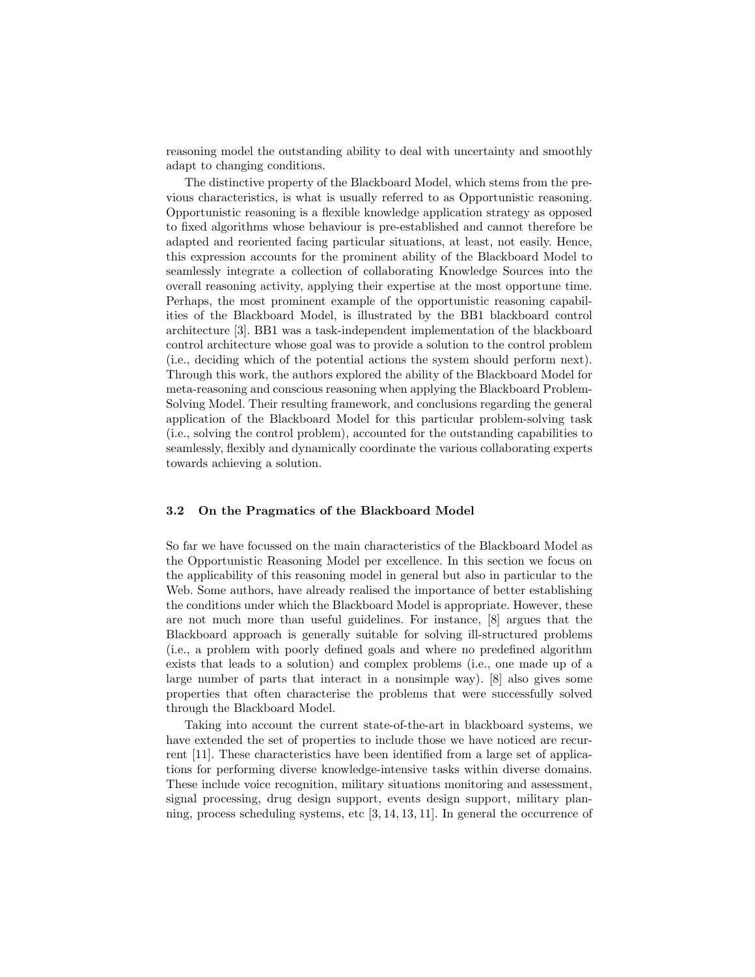reasoning model the outstanding ability to deal with uncertainty and smoothly adapt to changing conditions.

The distinctive property of the Blackboard Model, which stems from the previous characteristics, is what is usually referred to as Opportunistic reasoning. Opportunistic reasoning is a flexible knowledge application strategy as opposed to fixed algorithms whose behaviour is pre-established and cannot therefore be adapted and reoriented facing particular situations, at least, not easily. Hence, this expression accounts for the prominent ability of the Blackboard Model to seamlessly integrate a collection of collaborating Knowledge Sources into the overall reasoning activity, applying their expertise at the most opportune time. Perhaps, the most prominent example of the opportunistic reasoning capabilities of the Blackboard Model, is illustrated by the BB1 blackboard control architecture [3]. BB1 was a task-independent implementation of the blackboard control architecture whose goal was to provide a solution to the control problem (i.e., deciding which of the potential actions the system should perform next). Through this work, the authors explored the ability of the Blackboard Model for meta-reasoning and conscious reasoning when applying the Blackboard Problem-Solving Model. Their resulting framework, and conclusions regarding the general application of the Blackboard Model for this particular problem-solving task (i.e., solving the control problem), accounted for the outstanding capabilities to seamlessly, flexibly and dynamically coordinate the various collaborating experts towards achieving a solution.

#### 3.2 On the Pragmatics of the Blackboard Model

So far we have focussed on the main characteristics of the Blackboard Model as the Opportunistic Reasoning Model per excellence. In this section we focus on the applicability of this reasoning model in general but also in particular to the Web. Some authors, have already realised the importance of better establishing the conditions under which the Blackboard Model is appropriate. However, these are not much more than useful guidelines. For instance, [8] argues that the Blackboard approach is generally suitable for solving ill-structured problems (i.e., a problem with poorly defined goals and where no predefined algorithm exists that leads to a solution) and complex problems (i.e., one made up of a large number of parts that interact in a nonsimple way). [8] also gives some properties that often characterise the problems that were successfully solved through the Blackboard Model.

Taking into account the current state-of-the-art in blackboard systems, we have extended the set of properties to include those we have noticed are recurrent [11]. These characteristics have been identified from a large set of applications for performing diverse knowledge-intensive tasks within diverse domains. These include voice recognition, military situations monitoring and assessment, signal processing, drug design support, events design support, military planning, process scheduling systems, etc [3, 14, 13, 11]. In general the occurrence of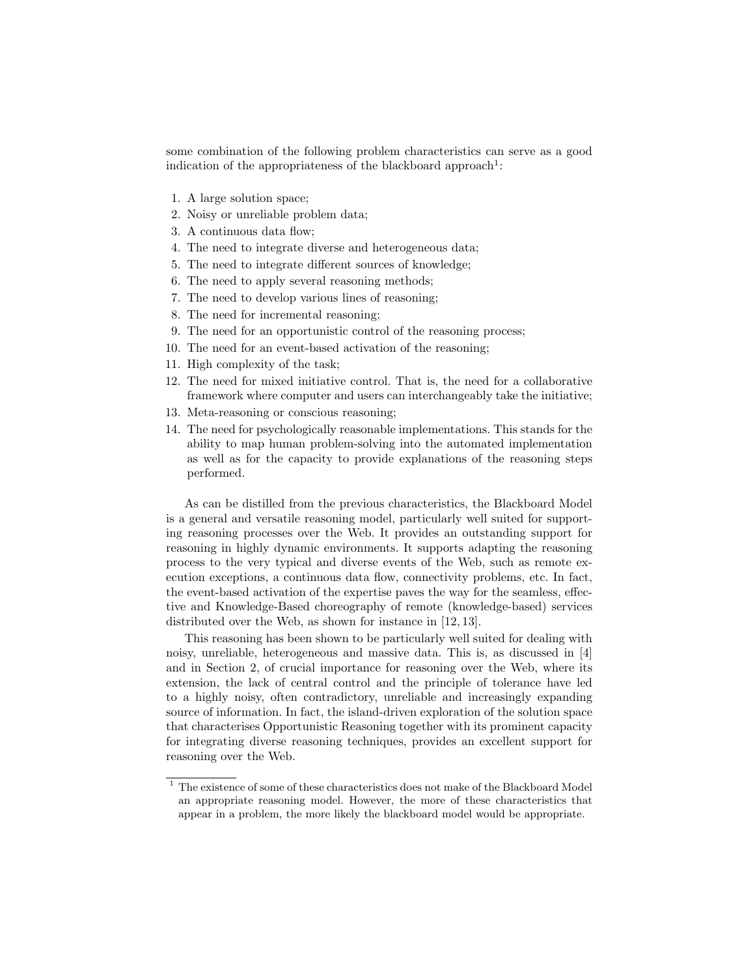some combination of the following problem characteristics can serve as a good indication of the appropriateness of the blackboard approach<sup>1</sup>:

- 1. A large solution space;
- 2. Noisy or unreliable problem data;
- 3. A continuous data flow;
- 4. The need to integrate diverse and heterogeneous data;
- 5. The need to integrate different sources of knowledge;
- 6. The need to apply several reasoning methods;
- 7. The need to develop various lines of reasoning;
- 8. The need for incremental reasoning;
- 9. The need for an opportunistic control of the reasoning process;
- 10. The need for an event-based activation of the reasoning;
- 11. High complexity of the task;
- 12. The need for mixed initiative control. That is, the need for a collaborative framework where computer and users can interchangeably take the initiative;
- 13. Meta-reasoning or conscious reasoning;
- 14. The need for psychologically reasonable implementations. This stands for the ability to map human problem-solving into the automated implementation as well as for the capacity to provide explanations of the reasoning steps performed.

As can be distilled from the previous characteristics, the Blackboard Model is a general and versatile reasoning model, particularly well suited for supporting reasoning processes over the Web. It provides an outstanding support for reasoning in highly dynamic environments. It supports adapting the reasoning process to the very typical and diverse events of the Web, such as remote execution exceptions, a continuous data flow, connectivity problems, etc. In fact, the event-based activation of the expertise paves the way for the seamless, effective and Knowledge-Based choreography of remote (knowledge-based) services distributed over the Web, as shown for instance in [12, 13].

This reasoning has been shown to be particularly well suited for dealing with noisy, unreliable, heterogeneous and massive data. This is, as discussed in [4] and in Section 2, of crucial importance for reasoning over the Web, where its extension, the lack of central control and the principle of tolerance have led to a highly noisy, often contradictory, unreliable and increasingly expanding source of information. In fact, the island-driven exploration of the solution space that characterises Opportunistic Reasoning together with its prominent capacity for integrating diverse reasoning techniques, provides an excellent support for reasoning over the Web.

 $^{\rm 1}$  The existence of some of these characteristics does not make of the Blackboard Model an appropriate reasoning model. However, the more of these characteristics that appear in a problem, the more likely the blackboard model would be appropriate.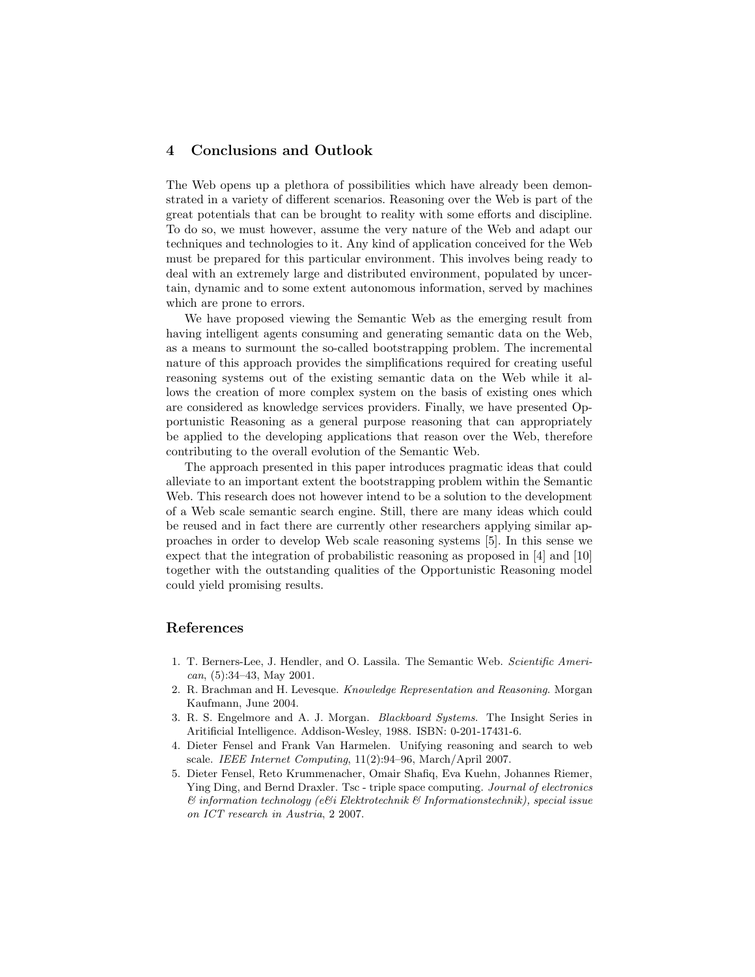## 4 Conclusions and Outlook

The Web opens up a plethora of possibilities which have already been demonstrated in a variety of different scenarios. Reasoning over the Web is part of the great potentials that can be brought to reality with some efforts and discipline. To do so, we must however, assume the very nature of the Web and adapt our techniques and technologies to it. Any kind of application conceived for the Web must be prepared for this particular environment. This involves being ready to deal with an extremely large and distributed environment, populated by uncertain, dynamic and to some extent autonomous information, served by machines which are prone to errors.

We have proposed viewing the Semantic Web as the emerging result from having intelligent agents consuming and generating semantic data on the Web, as a means to surmount the so-called bootstrapping problem. The incremental nature of this approach provides the simplifications required for creating useful reasoning systems out of the existing semantic data on the Web while it allows the creation of more complex system on the basis of existing ones which are considered as knowledge services providers. Finally, we have presented Opportunistic Reasoning as a general purpose reasoning that can appropriately be applied to the developing applications that reason over the Web, therefore contributing to the overall evolution of the Semantic Web.

The approach presented in this paper introduces pragmatic ideas that could alleviate to an important extent the bootstrapping problem within the Semantic Web. This research does not however intend to be a solution to the development of a Web scale semantic search engine. Still, there are many ideas which could be reused and in fact there are currently other researchers applying similar approaches in order to develop Web scale reasoning systems [5]. In this sense we expect that the integration of probabilistic reasoning as proposed in [4] and [10] together with the outstanding qualities of the Opportunistic Reasoning model could yield promising results.

## References

- 1. T. Berners-Lee, J. Hendler, and O. Lassila. The Semantic Web. Scientific Ameri $can, (5):34-43, May 2001.$
- 2. R. Brachman and H. Levesque. Knowledge Representation and Reasoning. Morgan Kaufmann, June 2004.
- 3. R. S. Engelmore and A. J. Morgan. Blackboard Systems. The Insight Series in Aritificial Intelligence. Addison-Wesley, 1988. ISBN: 0-201-17431-6.
- 4. Dieter Fensel and Frank Van Harmelen. Unifying reasoning and search to web scale. IEEE Internet Computing, 11(2):94–96, March/April 2007.
- 5. Dieter Fensel, Reto Krummenacher, Omair Shafiq, Eva Kuehn, Johannes Riemer, Ying Ding, and Bernd Draxler. Tsc - triple space computing. Journal of electronics  $\mathscr C$  information technology (e $\mathscr C$ i Elektrotechnik  $\mathscr C$  Informationstechnik), special issue on ICT research in Austria, 2 2007.